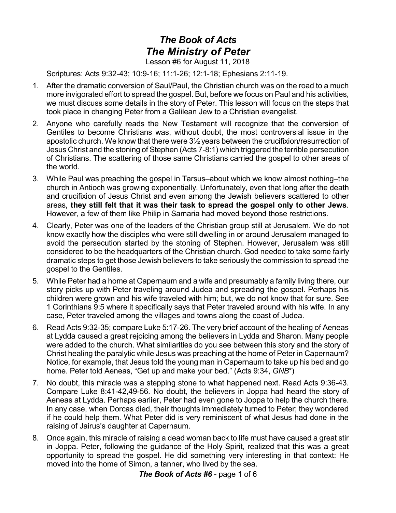## *The Book of Acts The Ministry of Peter* Lesson #6 for August 11, 2018

Scriptures: Acts 9:32-43; 10:9-16; 11:1-26; 12:1-18; Ephesians 2:11-19.

- 1. After the dramatic conversion of Saul/Paul, the Christian church was on the road to a much more invigorated effort to spread the gospel. But, before we focus on Paul and his activities, we must discuss some details in the story of Peter. This lesson will focus on the steps that took place in changing Peter from a Galilean Jew to a Christian evangelist.
- 2. Anyone who carefully reads the New Testament will recognize that the conversion of Gentiles to become Christians was, without doubt, the most controversial issue in the apostolic church. We know that there were 3½ years between the crucifixion/resurrection of Jesus Christ and the stoning of Stephen (Acts 7-8:1) which triggered the terrible persecution of Christians. The scattering of those same Christians carried the gospel to other areas of the world.
- 3. While Paul was preaching the gospel in Tarsus–about which we know almost nothing–the church in Antioch was growing exponentially. Unfortunately, even that long after the death and crucifixion of Jesus Christ and even among the Jewish believers scattered to other areas, **they still felt that it was their task to spread the gospel only to other Jews**. However, a few of them like Philip in Samaria had moved beyond those restrictions.
- 4. Clearly, Peter was one of the leaders of the Christian group still at Jerusalem. We do not know exactly how the disciples who were still dwelling in or around Jerusalem managed to avoid the persecution started by the stoning of Stephen. However, Jerusalem was still considered to be the headquarters of the Christian church. God needed to take some fairly dramatic steps to get those Jewish believers to take seriously the commission to spread the gospel to the Gentiles.
- 5. While Peter had a home at Capernaum and a wife and presumably a family living there, our story picks up with Peter traveling around Judea and spreading the gospel. Perhaps his children were grown and his wife traveled with him; but, we do not know that for sure. See 1 Corinthians 9:5 where it specifically says that Peter traveled around with his wife. In any case, Peter traveled among the villages and towns along the coast of Judea.
- 6. Read Acts 9:32-35; compare Luke 5:17-26. The very brief account of the healing of Aeneas at Lydda caused a great rejoicing among the believers in Lydda and Sharon. Many people were added to the church. What similarities do you see between this story and the story of Christ healing the paralytic while Jesus was preaching at the home of Peter in Capernaum? Notice, for example, that Jesus told the young man in Capernaum to take up his bed and go home. Peter told Aeneas, "Get up and make your bed." (Acts 9:34, *GNB*\*)
- 7. No doubt, this miracle was a stepping stone to what happened next. Read Acts 9:36-43. Compare Luke 8:41-42,49-56. No doubt, the believers in Joppa had heard the story of Aeneas at Lydda. Perhaps earlier, Peter had even gone to Joppa to help the church there. In any case, when Dorcas died, their thoughts immediately turned to Peter; they wondered if he could help them. What Peter did is very reminiscent of what Jesus had done in the raising of Jairus's daughter at Capernaum.
- 8. Once again, this miracle of raising a dead woman back to life must have caused a great stir in Joppa. Peter, following the guidance of the Holy Spirit, realized that this was a great opportunity to spread the gospel. He did something very interesting in that context: He moved into the home of Simon, a tanner, who lived by the sea.

*The Book of Acts #6* - page 1 of 6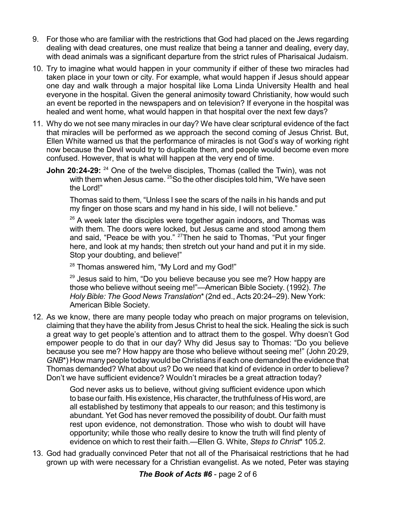- 9. For those who are familiar with the restrictions that God had placed on the Jews regarding dealing with dead creatures, one must realize that being a tanner and dealing, every day, with dead animals was a significant departure from the strict rules of Pharisaical Judaism.
- 10. Try to imagine what would happen in your community if either of these two miracles had taken place in your town or city. For example, what would happen if Jesus should appear one day and walk through a major hospital like Loma Linda University Health and heal everyone in the hospital. Given the general animosity toward Christianity, how would such an event be reported in the newspapers and on television? If everyone in the hospital was healed and went home, what would happen in that hospital over the next few days?
- 11. Why do we not see many miracles in our day? We have clear scriptural evidence of the fact that miracles will be performed as we approach the second coming of Jesus Christ. But, Ellen White warned us that the performance of miracles is not God's way of working right now because the Devil would try to duplicate them, and people would become even more confused. However, that is what will happen at the very end of time.
	- **John 20:24-29:** <sup>24</sup> One of the twelve disciples, Thomas (called the Twin), was not with them when Jesus came. <sup>25</sup>So the other disciples told him, "We have seen the Lord!"

Thomas said to them, "Unless I see the scars of the nails in his hands and put my finger on those scars and my hand in his side, I will not believe."

 $26$  A week later the disciples were together again indoors, and Thomas was with them. The doors were locked, but Jesus came and stood among them and said, "Peace be with you." <sup>27</sup>Then he said to Thomas, "Put your finger here, and look at my hands; then stretch out your hand and put it in my side. Stop your doubting, and believe!"

<sup>28</sup> Thomas answered him, "My Lord and my God!"

<sup>29</sup> Jesus said to him, "Do you believe because you see me? How happy are those who believe without seeing me!"—American Bible Society. (1992). *The Holy Bible: The Good News Translation*\*(2nd ed., Acts 20:24–29). New York: American Bible Society.

12. As we know, there are many people today who preach on major programs on television, claiming that they have the ability from Jesus Christ to heal the sick. Healing the sick is such a great way to get people's attention and to attract them to the gospel. Why doesn't God empower people to do that in our day? Why did Jesus say to Thomas: "Do you believe because you see me? How happy are those who believe without seeing me!" (John 20:29, *GNB*\*) How many people today would be Christians if each one demanded the evidence that Thomas demanded? What about us? Do we need that kind of evidence in order to believe? Don't we have sufficient evidence? Wouldn't miracles be a great attraction today?

> God never asks us to believe, without giving sufficient evidence upon which to base ourfaith. His existence, His character, the truthfulness of His word, are all established by testimony that appeals to our reason; and this testimony is abundant. Yet God has never removed the possibility of doubt. Our faith must rest upon evidence, not demonstration. Those who wish to doubt will have opportunity; while those who really desire to know the truth will find plenty of evidence on which to rest their faith.—Ellen G. White, *Steps to Christ*\* 105.2.

13. God had gradually convinced Peter that not all of the Pharisaical restrictions that he had grown up with were necessary for a Christian evangelist. As we noted, Peter was staying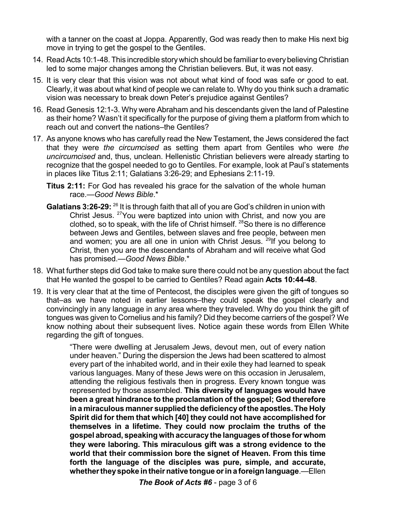with a tanner on the coast at Joppa. Apparently, God was ready then to make His next big move in trying to get the gospel to the Gentiles.

- 14. Read Acts 10:1-48. This incredible story which should be familiar to every believing Christian led to some major changes among the Christian believers. But, it was not easy.
- 15. It is very clear that this vision was not about what kind of food was safe or good to eat. Clearly, it was about what kind of people we can relate to. Why do you think such a dramatic vision was necessary to break down Peter's prejudice against Gentiles?
- 16. Read Genesis 12:1-3. Why were Abraham and his descendants given the land of Palestine as their home? Wasn't it specifically for the purpose of giving them a platform from which to reach out and convert the nations–the Gentiles?
- 17. As anyone knows who has carefully read the New Testament, the Jews considered the fact that they were *the circumcised* as setting them apart from Gentiles who were *the uncircumcised* and, thus, unclean. Hellenistic Christian believers were already starting to recognize that the gospel needed to go to Gentiles. For example, look at Paul's statements in places like Titus 2:11; Galatians 3:26-29; and Ephesians 2:11-19.
	- **Titus 2:11:** For God has revealed his grace for the salvation of the whole human race.—*Good News Bible*.\*
	- Galatians 3:26-29: <sup>26</sup> It is through faith that all of you are God's children in union with Christ Jesus. <sup>27</sup>You were baptized into union with Christ, and now you are clothed, so to speak, with the life of Christ himself.  $^{28}$ So there is no difference between Jews and Gentiles, between slaves and free people, between men and women; you are all one in union with Christ Jesus. <sup>29</sup>lf you belong to Christ, then you are the descendants of Abraham and will receive what God has promised.—*Good News Bible*.\*
- 18. What further steps did God take to make sure there could not be any question about the fact that He wanted the gospel to be carried to Gentiles? Read again **Acts 10:44-48**.
- 19. It is very clear that at the time of Pentecost, the disciples were given the gift of tongues so that–as we have noted in earlier lessons–they could speak the gospel clearly and convincingly in any language in any area where they traveled. Why do you think the gift of tongues was given to Cornelius and his family? Did they become carriers of the gospel? We know nothing about their subsequent lives. Notice again these words from Ellen White regarding the gift of tongues.

"There were dwelling at Jerusalem Jews, devout men, out of every nation under heaven." During the dispersion the Jews had been scattered to almost every part of the inhabited world, and in their exile they had learned to speak various languages. Many of these Jews were on this occasion in Jerusalem, attending the religious festivals then in progress. Every known tongue was represented by those assembled. **This diversity of languages would have been a great hindrance to the proclamation of the gospel; God therefore in a miraculous manner supplied the deficiency ofthe apostles. The Holy Spirit did for them that which [40] they could not have accomplished for themselves in a lifetime. They could now proclaim the truths of the gospel abroad, speaking with accuracy the languages of those for whom they were laboring. This miraculous gift was a strong evidence to the world that their commission bore the signet of Heaven. From this time forth the language of the disciples was pure, simple, and accurate, whethertheyspoke intheirnative tongue orina foreignlanguage**.—Ellen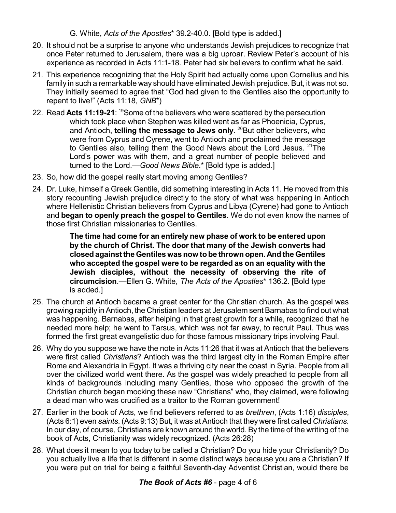G. White, *Acts of the Apostles*\* 39.2-40.0. [Bold type is added.]

- 20. It should not be a surprise to anyone who understands Jewish prejudices to recognize that once Peter returned to Jerusalem, there was a big uproar. Review Peter's account of his experience as recorded in Acts 11:1-18. Peter had six believers to confirm what he said.
- 21. This experience recognizing that the Holy Spirit had actually come upon Cornelius and his family in such a remarkable way should have eliminated Jewish prejudice. But, it was not so. They initially seemed to agree that "God had given to the Gentiles also the opportunity to repent to live!" (Acts 11:18, *GNB*\*)
- 22. Read Acts 11:19-21: <sup>19</sup>Some of the believers who were scattered by the persecution which took place when Stephen was killed went as far as Phoenicia, Cyprus, and Antioch, **telling the message to Jews only**. <sup>20</sup>But other believers, who were from Cyprus and Cyrene, went to Antioch and proclaimed the message to Gentiles also, telling them the Good News about the Lord Jesus. <sup>21</sup>The Lord's power was with them, and a great number of people believed and turned to the Lord.—*Good News Bible*.\* [Bold type is added.]
- 23. So, how did the gospel really start moving among Gentiles?
- 24. Dr. Luke, himself a Greek Gentile, did something interesting in Acts 11. He moved from this story recounting Jewish prejudice directly to the story of what was happening in Antioch where Hellenistic Christian believers from Cyprus and Libya (Cyrene) had gone to Antioch and **began to openly preach the gospel to Gentiles**. We do not even know the names of those first Christian missionaries to Gentiles.

**The time had come for an entirely new phase of work to be entered upon by the church of Christ. The door that many of the Jewish converts had closed againstthe Gentiles wasnow tobe thrown open. And the Gentiles who accepted the gospel were to be regarded as on an equality with the Jewish disciples, without the necessity of observing the rite of circumcision**.—Ellen G. White, *The Acts of the Apostles*\* 136.2. [Bold type is added.]

- 25. The church at Antioch became a great center for the Christian church. As the gospel was growing rapidly in Antioch, the Christian leaders at Jerusalem sent Barnabas to find out what was happening. Barnabas, after helping in that great growth for a while, recognized that he needed more help; he went to Tarsus, which was not far away, to recruit Paul. Thus was formed the first great evangelistic duo for those famous missionary trips involving Paul.
- 26. Why do you suppose we have the note in Acts 11:26 that it was at Antioch that the believers were first called *Christians*? Antioch was the third largest city in the Roman Empire after Rome and Alexandria in Egypt. It was a thriving city near the coast in Syria. People from all over the civilized world went there. As the gospel was widely preached to people from all kinds of backgrounds including many Gentiles, those who opposed the growth of the Christian church began mocking these new "Christians" who, they claimed, were following a dead man who was crucified as a traitor to the Roman government!
- 27. Earlier in the book of Acts, we find believers referred to as *brethren*, (Acts 1:16) *disciples*, (Acts 6:1) even *saints*. (Acts 9:13) But, it was at Antioch that they were first called *Christians*. In our day, of course, Christians are known around the world. By the time of the writing of the book of Acts, Christianity was widely recognized. (Acts 26:28)
- 28. What does it mean to you today to be called a Christian? Do you hide your Christianity? Do you actually live a life that is different in some distinct ways because you are a Christian? If you were put on trial for being a faithful Seventh-day Adventist Christian, would there be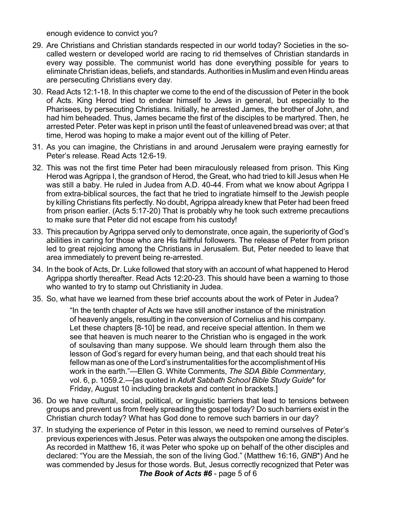enough evidence to convict you?

- 29. Are Christians and Christian standards respected in our world today? Societies in the socalled western or developed world are racing to rid themselves of Christian standards in every way possible. The communist world has done everything possible for years to eliminate Christian ideas, beliefs, and standards.Authorities in Muslimand even Hindu areas are persecuting Christians every day.
- 30. Read Acts 12:1-18. In this chapter we come to the end of the discussion of Peter in the book of Acts. King Herod tried to endear himself to Jews in general, but especially to the Pharisees, by persecuting Christians. Initially, he arrested James, the brother of John, and had him beheaded. Thus, James became the first of the disciples to be martyred. Then, he arrested Peter. Peter was kept in prison until the feast of unleavened bread was over; at that time, Herod was hoping to make a major event out of the killing of Peter.
- 31. As you can imagine, the Christians in and around Jerusalem were praying earnestly for Peter's release. Read Acts 12:6-19.
- 32. This was not the first time Peter had been miraculously released from prison. This King Herod was Agrippa I, the grandson of Herod, the Great, who had tried to kill Jesus when He was still a baby. He ruled in Judea from A.D. 40-44. From what we know about Agrippa I from extra-biblical sources, the fact that he tried to ingratiate himself to the Jewish people by killing Christians fits perfectly. No doubt, Agrippa already knew that Peter had been freed from prison earlier. (Acts 5:17-20) That is probably why he took such extreme precautions to make sure that Peter did not escape from his custody!
- 33. This precaution by Agrippa served only to demonstrate, once again, the superiority of God's abilities in caring for those who are His faithful followers. The release of Peter from prison led to great rejoicing among the Christians in Jerusalem. But, Peter needed to leave that area immediately to prevent being re-arrested.
- 34. In the book of Acts, Dr. Luke followed that story with an account of what happened to Herod Agrippa shortly thereafter. Read Acts 12:20-23. This should have been a warning to those who wanted to try to stamp out Christianity in Judea.
- 35. So, what have we learned from these brief accounts about the work of Peter in Judea?

"In the tenth chapter of Acts we have still another instance of the ministration of heavenly angels, resulting in the conversion of Cornelius and his company. Let these chapters [8-10] be read, and receive special attention. In them we see that heaven is much nearer to the Christian who is engaged in the work of soulsaving than many suppose. We should learn through them also the lesson of God's regard for every human being, and that each should treat his fellow man as one of the Lord's instrumentalities forthe accomplishment of His work in the earth."—Ellen G. White Comments, *The SDA Bible Commentary*, vol. 6, p. 1059.2.—[as quoted in *Adult Sabbath School Bible Study Guide*\* for Friday, August 10 including brackets and content in brackets.]

- 36. Do we have cultural, social, political, or linguistic barriers that lead to tensions between groups and prevent us from freely spreading the gospel today? Do such barriers exist in the Christian church today? What has God done to remove such barriers in our day?
- 37. In studying the experience of Peter in this lesson, we need to remind ourselves of Peter's previous experiences with Jesus. Peter was always the outspoken one among the disciples. As recorded in Matthew 16, it was Peter who spoke up on behalf of the other disciples and declared: "You are the Messiah, the son of the living God." (Matthew 16:16, *GNB*\*) And he was commended by Jesus for those words. But, Jesus correctly recognized that Peter was *The Book of Acts #6* - page 5 of 6